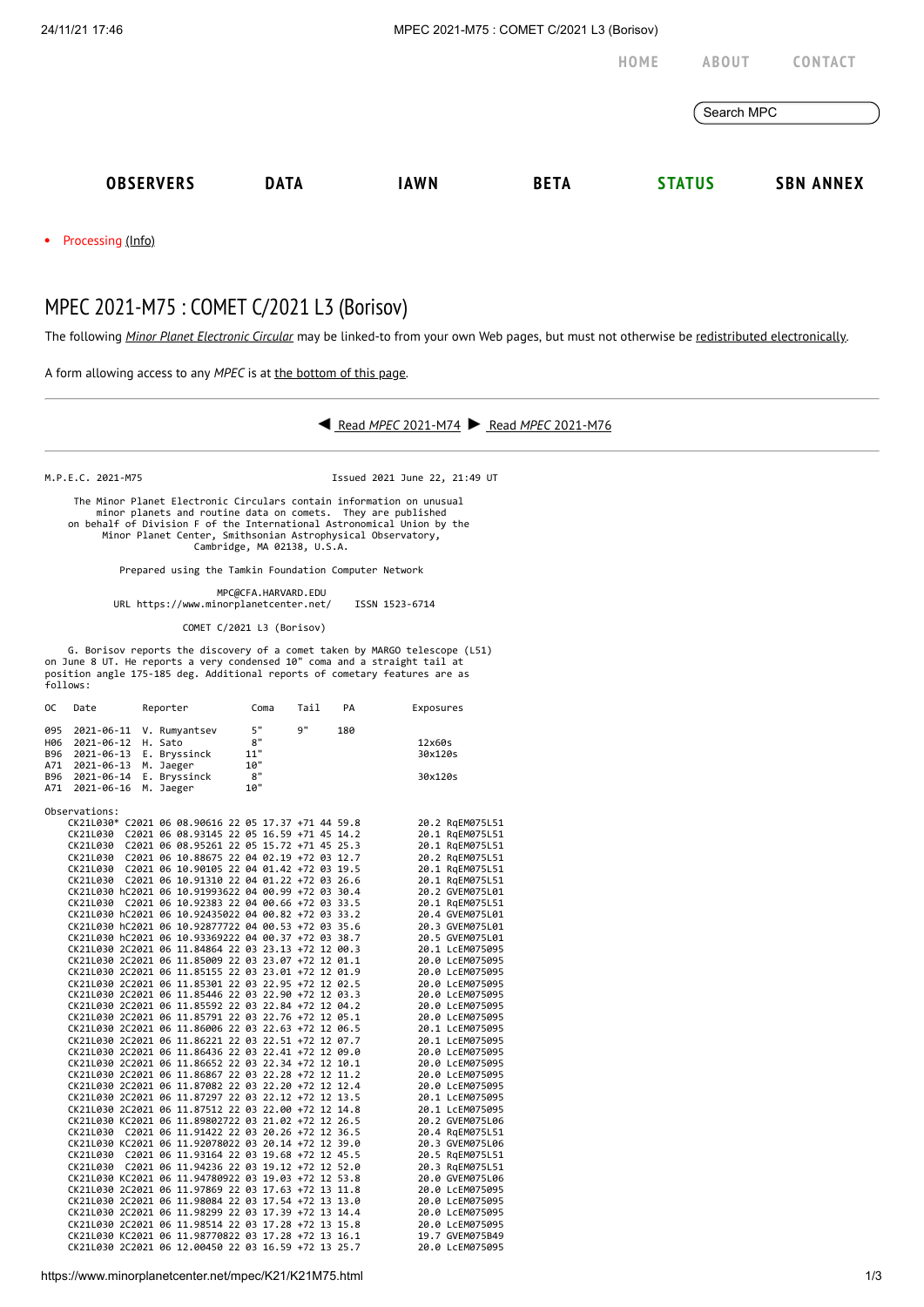24/11/21 17:46 MPEC 2021-M75 : COMET C/2021 L3 (Borisov)

Processing [\(Info\)](https://www.minorplanetcenter.net/iau/info/MPCOpStatus.html) **[HOME](https://www.minorplanetcenter.net/) [ABOUT](https://www.minorplanetcenter.net/about) [CONTACT](https://mpc-service.atlassian.net/servicedesk/customer/portals)** Search MPC **[OBSERVERS](https://www.minorplanetcenter.net/iau/mpc.html) [DATA](https://www.minorplanetcenter.net/data) [IAWN](http://iawn.net/) [BETA](https://minorplanetcenter.net/mpcops/beta/) [STATUS](https://www.minorplanetcenter.net/iau/MPCStatus.html) SBN [ANNEX](https://sbnmpc.astro.umd.edu/)**

## MPEC 2021-M75 : COMET C/2021 L3 (Borisov)

The following *Minor Planet [Electronic](https://www.minorplanetcenter.net/iau/services/MPEC.html) Circular* may be linked-to from your own Web pages, but must not otherwise be redistributed [electronically](https://www.minorplanetcenter.net/iau/WWWPolicy.html).

A form allowing access to any *MPEC* is at the [bottom](https://www.minorplanetcenter.net/mpec/K19/K21M75.html#form) of this page.



M.P.E.C. 2021-M75 Issued 2021 June 22, 21:49 UT

 The Minor Planet Electronic Circulars contain information on unusual minor planets and routine data on comets. They are published on behalf of Division F of the International Astronomical Union by the Minor Planet Center, Smithsonian Astrophysical Observatory, Cambridge, MA 02138, U.S.A.

Prepared using the Tamkin Foundation Computer Network

 MPC@CFA.HARVARD.EDU URL https://www.minorplanetcenter.net/ ISSN 1523-6714

COMET C/2021 L3 (Borisov)

G. Borisov reports the discovery of a comet taken by MARGO telescope (L51)<br>on June 8 UT. He reports a very condensed 10" coma and a straight tail at<br>position angle 175-185 deg. Additional reports of cometary features are a

| 0C                                     | Date                                                                             |  | Reporter                                                                           |                                                                                                                                                                                                                                                                                                                                                                                                                                                                                                                                                                                                                                                                                                                                                                                                                                                                                                                                                                                                                                                                                                                                                                                                                                                                                                         |                                     | Coma |            | Tail |     | Exposures                                                                                                                                                                                                                                                                                                                                                                                                                                         |
|----------------------------------------|----------------------------------------------------------------------------------|--|------------------------------------------------------------------------------------|---------------------------------------------------------------------------------------------------------------------------------------------------------------------------------------------------------------------------------------------------------------------------------------------------------------------------------------------------------------------------------------------------------------------------------------------------------------------------------------------------------------------------------------------------------------------------------------------------------------------------------------------------------------------------------------------------------------------------------------------------------------------------------------------------------------------------------------------------------------------------------------------------------------------------------------------------------------------------------------------------------------------------------------------------------------------------------------------------------------------------------------------------------------------------------------------------------------------------------------------------------------------------------------------------------|-------------------------------------|------|------------|------|-----|---------------------------------------------------------------------------------------------------------------------------------------------------------------------------------------------------------------------------------------------------------------------------------------------------------------------------------------------------------------------------------------------------------------------------------------------------|
| 095<br>H06<br>B96<br>A71<br>B96<br>A71 | 2021-06-11<br>2021-06-12<br>2021-06-13<br>2021-06-13<br>2021-06-14<br>2021-06-16 |  | V. Rumyantsev<br>H. Sato<br>E. Bryssinck<br>M. Jaeger<br>E. Bryssinck<br>M. Jaeger |                                                                                                                                                                                                                                                                                                                                                                                                                                                                                                                                                                                                                                                                                                                                                                                                                                                                                                                                                                                                                                                                                                                                                                                                                                                                                                         | 5"<br>8"<br>11"<br>10"<br>8"<br>10" |      | <b>q</b> " |      | 180 | 12x60s<br>30x120s<br>30x120s                                                                                                                                                                                                                                                                                                                                                                                                                      |
|                                        |                                                                                  |  |                                                                                    |                                                                                                                                                                                                                                                                                                                                                                                                                                                                                                                                                                                                                                                                                                                                                                                                                                                                                                                                                                                                                                                                                                                                                                                                                                                                                                         |                                     |      |            |      |     |                                                                                                                                                                                                                                                                                                                                                                                                                                                   |
|                                        | Observations:                                                                    |  |                                                                                    | CK21L030* C2021 06 08.90616 22 05 17.37 +71 44 59.8<br>CK21L030 C2021 06 08.93145 22 05 16.59 +71 45 14.2<br>CK21L030 C2021 06 08.95261 22 05 15.72 +71 45 25.3<br>CK21L030 C2021 06 10.88675 22 04 02.19 +72 03 12.7<br>CK21L030 C2021 06 10.90105 22 04 01.42 +72 03 19.5<br>CK21L030 C2021 06 10.91310 22 04 01.22 +72 03 26.6<br>CK21L030 hC2021 06 10.91993622 04 00.99 +72 03 30.4<br>CK21L030 C2021 06 10.92383 22 04 00.66 +72 03 33.5<br>CK21L030 hC2021 06 10.92435022 04 00.82 +72 03 33.2<br>CK21L030 hC2021 06 10.92877722 04 00.53 +72 03 35.6<br>CK21L030 hC2021 06 10.93369222 04 00.37 +72 03 38.7<br>CK21L030 2C2021 06 11.84864 22 03 23.13 +72 12 00.3<br>CK21L030 2C2021 06 11.85009 22 03 23.07 +72 12 01.1<br>CK21L030 2C2021 06 11.85155 22 03 23.01 +72 12 01.9<br>CK21L030 2C2021 06 11.85301 22 03 22.95 +72 12 02.5<br>CK21L030 2C2021 06 11.85446 22 03 22.90 +72 12 03.3<br>CK21L030 2C2021 06 11.85592 22 03 22.84 +72 12 04.2<br>CK21L030 2C2021 06 11.85791 22 03 22.76 +72 12 05.1<br>CK21L030 2C2021 06 11.86006 22 03 22.63 +72 12 06.5<br>CK21L030 2C2021 06 11.86221 22 03 22.51 +72 12 07.7<br>CK21L030 2C2021 06 11.86436 22 03 22.41 +72 12 09.0<br>CK21L030 2C2021 06 11.86652 22 03 22.34 +72 12 10.1<br>CK21L030 2C2021 06 11.86867 22 03 22.28 +72 12 11.2 |                                     |      |            |      |     | 20.2 RgEM075L51<br>20.1 RgEM075L51<br>20.1 RgEM075L51<br>20.2 RqEM075L51<br>20.1 RgEM075L51<br>20.1 RgEM075L51<br>20.2 GVEM075L01<br>20.1 RqEM075L51<br>20.4 GVEM075L01<br>20.3 GVEM075L01<br>20.5 GVEM075L01<br>20.1 LcEM075095<br>20.0 LCEM075095<br>20.0 LCEM075095<br>20.0 LCEM075095<br>20.0 LCEM075095<br>20.0 LcEM075095<br>20.0 LcEM075095<br>20.1 LcEM075095<br>20.1 LCEM075095<br>20.0 LCEM075095<br>20.0 LcEM075095<br>20.0 LCEM075095 |
|                                        |                                                                                  |  |                                                                                    | CK21L030 2C2021 06 11.87082 22 03 22.20 +72 12 12.4                                                                                                                                                                                                                                                                                                                                                                                                                                                                                                                                                                                                                                                                                                                                                                                                                                                                                                                                                                                                                                                                                                                                                                                                                                                     |                                     |      |            |      |     | 20.0 LcEM075095                                                                                                                                                                                                                                                                                                                                                                                                                                   |
|                                        |                                                                                  |  |                                                                                    | CK21L030 2C2021 06 11.87297 22 03 22.12 +72 12 13.5<br>CK21L030 2C2021 06 11.87512 22 03 22.00 +72 12 14.8<br>CK21L030 KC2021 06 11.89802722 03 21.02 +72 12 26.5<br>CK21L030 C2021 06 11.91422 22 03 20.26 +72 12 36.5                                                                                                                                                                                                                                                                                                                                                                                                                                                                                                                                                                                                                                                                                                                                                                                                                                                                                                                                                                                                                                                                                 |                                     |      |            |      |     | 20.1 LcEM075095<br>20.1 LcEM075095<br>20.2 GVEM075L06<br>20.4 RgEM075L51                                                                                                                                                                                                                                                                                                                                                                          |
|                                        |                                                                                  |  |                                                                                    | CK21L030 KC2021 06 11.92078022 03 20.14 +72 12 39.0                                                                                                                                                                                                                                                                                                                                                                                                                                                                                                                                                                                                                                                                                                                                                                                                                                                                                                                                                                                                                                                                                                                                                                                                                                                     |                                     |      |            |      |     | 20.3 GVEM075L06                                                                                                                                                                                                                                                                                                                                                                                                                                   |
|                                        |                                                                                  |  |                                                                                    | CK21L030 C2021 06 11.93164 22 03 19.68 +72 12 45.5                                                                                                                                                                                                                                                                                                                                                                                                                                                                                                                                                                                                                                                                                                                                                                                                                                                                                                                                                                                                                                                                                                                                                                                                                                                      |                                     |      |            |      |     | 20.5 RqEM075L51                                                                                                                                                                                                                                                                                                                                                                                                                                   |
|                                        |                                                                                  |  |                                                                                    | CK21L030 C2021 06 11.94236 22 03 19.12 +72 12 52.0<br>CK21L030 KC2021 06 11.94780922 03 19.03 +72 12 53.8                                                                                                                                                                                                                                                                                                                                                                                                                                                                                                                                                                                                                                                                                                                                                                                                                                                                                                                                                                                                                                                                                                                                                                                               |                                     |      |            |      |     | 20.3 RgEM075L51<br>20.0 GVEM075L06                                                                                                                                                                                                                                                                                                                                                                                                                |
|                                        |                                                                                  |  |                                                                                    | CK21L030 2C2021 06 11.97869 22 03 17.63 +72 13 11.8                                                                                                                                                                                                                                                                                                                                                                                                                                                                                                                                                                                                                                                                                                                                                                                                                                                                                                                                                                                                                                                                                                                                                                                                                                                     |                                     |      |            |      |     | 20.0 LcEM075095                                                                                                                                                                                                                                                                                                                                                                                                                                   |
|                                        |                                                                                  |  |                                                                                    | CK21L030 2C2021 06 11.98084 22 03 17.54 +72 13 13.0                                                                                                                                                                                                                                                                                                                                                                                                                                                                                                                                                                                                                                                                                                                                                                                                                                                                                                                                                                                                                                                                                                                                                                                                                                                     |                                     |      |            |      |     | 20.0 LCEM075095                                                                                                                                                                                                                                                                                                                                                                                                                                   |
|                                        |                                                                                  |  |                                                                                    | CK21L030 2C2021 06 11.98299 22 03 17.39 +72 13 14.4                                                                                                                                                                                                                                                                                                                                                                                                                                                                                                                                                                                                                                                                                                                                                                                                                                                                                                                                                                                                                                                                                                                                                                                                                                                     |                                     |      |            |      |     | 20.0 LCEM075095                                                                                                                                                                                                                                                                                                                                                                                                                                   |
|                                        |                                                                                  |  |                                                                                    | CK21L030 2C2021 06 11.98514 22 03 17.28 +72 13 15.8                                                                                                                                                                                                                                                                                                                                                                                                                                                                                                                                                                                                                                                                                                                                                                                                                                                                                                                                                                                                                                                                                                                                                                                                                                                     |                                     |      |            |      |     | 20.0 LCEM075095                                                                                                                                                                                                                                                                                                                                                                                                                                   |
|                                        |                                                                                  |  |                                                                                    | CK21L030 KC2021 06 11.98770822 03 17.28 +72 13 16.1                                                                                                                                                                                                                                                                                                                                                                                                                                                                                                                                                                                                                                                                                                                                                                                                                                                                                                                                                                                                                                                                                                                                                                                                                                                     |                                     |      |            |      |     | 19.7 GVEM075B49                                                                                                                                                                                                                                                                                                                                                                                                                                   |
|                                        |                                                                                  |  |                                                                                    | CK21L030 2C2021 06 12.00450 22 03 16.59 +72 13 25.7                                                                                                                                                                                                                                                                                                                                                                                                                                                                                                                                                                                                                                                                                                                                                                                                                                                                                                                                                                                                                                                                                                                                                                                                                                                     |                                     |      |            |      |     | 20.0 LcEM075095                                                                                                                                                                                                                                                                                                                                                                                                                                   |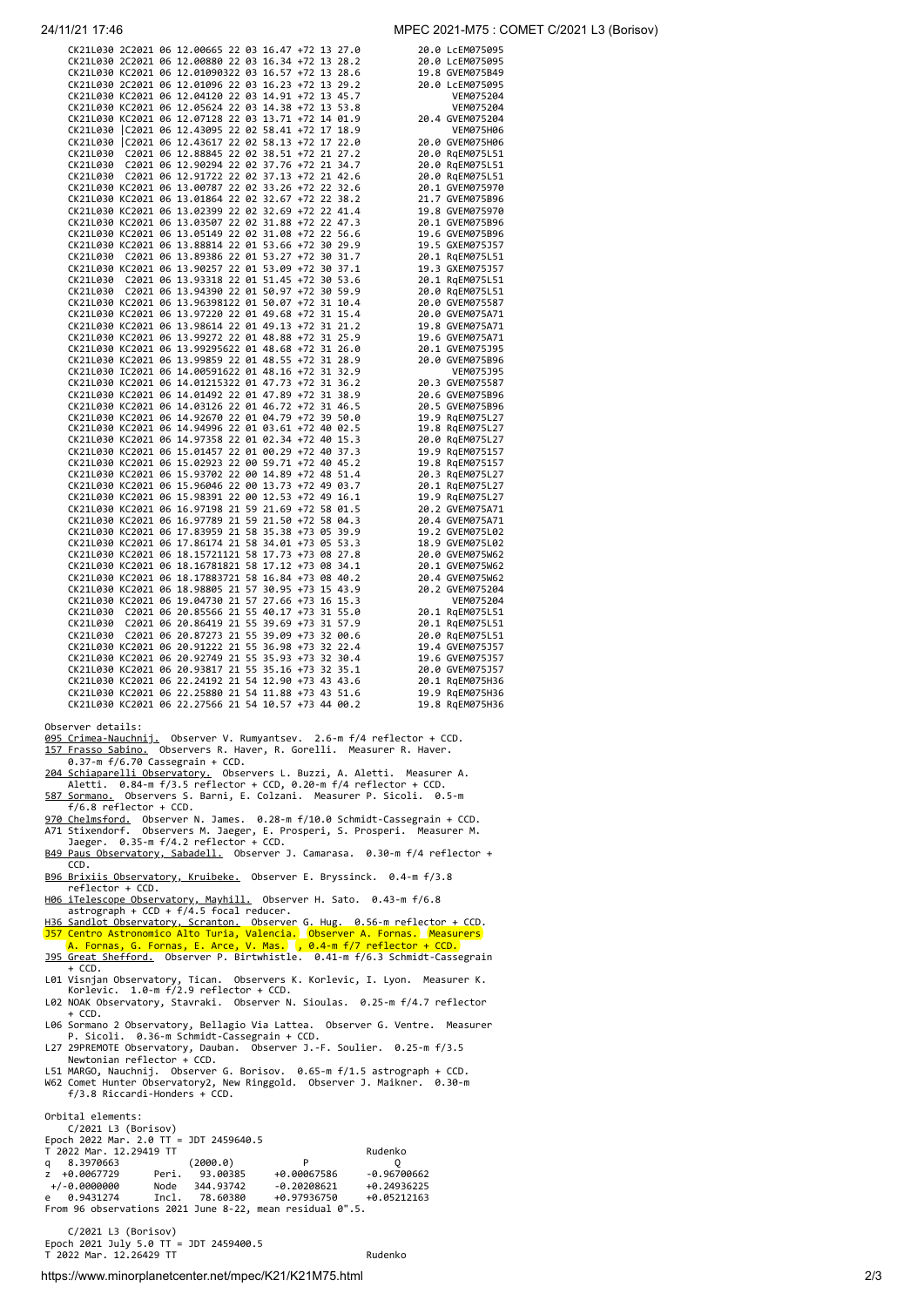| MPEC 2021-M75 : COMET C/2021 L3 (Borisov)<br>24/11/21 17:46 |  |
|-------------------------------------------------------------|--|
|-------------------------------------------------------------|--|

|  |  | CK21L030 2C2021 06 12.00665 22 03 16.47 +72 13 27.0                                                                                                                                                                      |  |  |  |                                                                                                                                                                                                                                                          | 20.0 LCEM075095                    |
|--|--|--------------------------------------------------------------------------------------------------------------------------------------------------------------------------------------------------------------------------|--|--|--|----------------------------------------------------------------------------------------------------------------------------------------------------------------------------------------------------------------------------------------------------------|------------------------------------|
|  |  |                                                                                                                                                                                                                          |  |  |  | CK21L030 2C2021 06 12.00880 22 03 16.34 +72 13 28.2<br>CK21L030 KC2021 06 12.01090322 03 16.57 +72 13 28.6<br>CK21L030 2C2021 06 12.01090322 03 16.23 +72 13 29.2<br>20.0 LCEM075094<br>22.0 LCEM075094                                                  |                                    |
|  |  |                                                                                                                                                                                                                          |  |  |  |                                                                                                                                                                                                                                                          |                                    |
|  |  |                                                                                                                                                                                                                          |  |  |  |                                                                                                                                                                                                                                                          |                                    |
|  |  |                                                                                                                                                                                                                          |  |  |  |                                                                                                                                                                                                                                                          |                                    |
|  |  |                                                                                                                                                                                                                          |  |  |  |                                                                                                                                                                                                                                                          |                                    |
|  |  |                                                                                                                                                                                                                          |  |  |  |                                                                                                                                                                                                                                                          |                                    |
|  |  |                                                                                                                                                                                                                          |  |  |  |                                                                                                                                                                                                                                                          |                                    |
|  |  |                                                                                                                                                                                                                          |  |  |  |                                                                                                                                                                                                                                                          |                                    |
|  |  |                                                                                                                                                                                                                          |  |  |  |                                                                                                                                                                                                                                                          |                                    |
|  |  |                                                                                                                                                                                                                          |  |  |  |                                                                                                                                                                                                                                                          |                                    |
|  |  |                                                                                                                                                                                                                          |  |  |  |                                                                                                                                                                                                                                                          |                                    |
|  |  |                                                                                                                                                                                                                          |  |  |  |                                                                                                                                                                                                                                                          |                                    |
|  |  |                                                                                                                                                                                                                          |  |  |  |                                                                                                                                                                                                                                                          |                                    |
|  |  |                                                                                                                                                                                                                          |  |  |  |                                                                                                                                                                                                                                                          |                                    |
|  |  |                                                                                                                                                                                                                          |  |  |  |                                                                                                                                                                                                                                                          |                                    |
|  |  |                                                                                                                                                                                                                          |  |  |  |                                                                                                                                                                                                                                                          |                                    |
|  |  |                                                                                                                                                                                                                          |  |  |  |                                                                                                                                                                                                                                                          |                                    |
|  |  |                                                                                                                                                                                                                          |  |  |  |                                                                                                                                                                                                                                                          |                                    |
|  |  |                                                                                                                                                                                                                          |  |  |  | CK211030 (C2021 06 12.43095 22 02 58.41 +72 17 18.9<br>CK211030 (C2021 06 12.43617 22 02 58.41 +72 17 18.9<br>CK211030 C2021 06 12.43617 22 02 58.13 +72 17 22.0<br>CK211030 C2021 06 12.90294 22 02 33.51 +72 21 27.2<br>CK211030 C20                   | 19.3 GXEM075J57                    |
|  |  |                                                                                                                                                                                                                          |  |  |  |                                                                                                                                                                                                                                                          | 20.1 RgEM075L51                    |
|  |  | CK21L030 KC2021 06 13.90257 22 01 53.09 +72 30 37.1<br>CK21L030 C2021 06 13.93318 22 01 51.45 +72 30 53.6<br>CK21L030 C2021 06 13.94390 22 01 50.97 +72 30 59.9                                                          |  |  |  |                                                                                                                                                                                                                                                          | 20.1 RqEM075L51<br>20.0 RqEM075L51 |
|  |  |                                                                                                                                                                                                                          |  |  |  |                                                                                                                                                                                                                                                          |                                    |
|  |  |                                                                                                                                                                                                                          |  |  |  |                                                                                                                                                                                                                                                          |                                    |
|  |  |                                                                                                                                                                                                                          |  |  |  |                                                                                                                                                                                                                                                          |                                    |
|  |  |                                                                                                                                                                                                                          |  |  |  |                                                                                                                                                                                                                                                          |                                    |
|  |  |                                                                                                                                                                                                                          |  |  |  |                                                                                                                                                                                                                                                          |                                    |
|  |  |                                                                                                                                                                                                                          |  |  |  |                                                                                                                                                                                                                                                          |                                    |
|  |  |                                                                                                                                                                                                                          |  |  |  |                                                                                                                                                                                                                                                          |                                    |
|  |  |                                                                                                                                                                                                                          |  |  |  |                                                                                                                                                                                                                                                          |                                    |
|  |  |                                                                                                                                                                                                                          |  |  |  | 20.0 RqEM075L51<br>20.0 RqEM075L51<br>20.0 RqEM075L51<br>20.0 RqEM075L51<br>20.0 RqEM075L51<br>20.0 RqEM075L51<br>20.0 RqEM075L51<br>20.0 RVEM075887<br>20.0 RVEM075887<br>20.0 RVEM075887<br>20.0 RVEM075887<br>20.0 RVEM075871<br>20.0 RVEM075871<br>2 |                                    |
|  |  |                                                                                                                                                                                                                          |  |  |  |                                                                                                                                                                                                                                                          |                                    |
|  |  |                                                                                                                                                                                                                          |  |  |  |                                                                                                                                                                                                                                                          |                                    |
|  |  |                                                                                                                                                                                                                          |  |  |  |                                                                                                                                                                                                                                                          |                                    |
|  |  |                                                                                                                                                                                                                          |  |  |  |                                                                                                                                                                                                                                                          |                                    |
|  |  |                                                                                                                                                                                                                          |  |  |  |                                                                                                                                                                                                                                                          | 20.0 RqEM075L27<br>19.9 RqEM075157 |
|  |  |                                                                                                                                                                                                                          |  |  |  |                                                                                                                                                                                                                                                          |                                    |
|  |  |                                                                                                                                                                                                                          |  |  |  |                                                                                                                                                                                                                                                          | 19.8 RgEM075157                    |
|  |  | CK21L030 KC2021 06 15.01457 22 01 00.29 +72 40 37.3<br>CK21L030 KC2021 06 15.02923 22 00 59.71 +72 40 45.2<br>CK21L030 KC2021 06 15.93702 22 00 14.89 +72 48 51.4<br>CK21L030 KC2021 06 15.96046 22 00 13.73 +72 49 03.7 |  |  |  |                                                                                                                                                                                                                                                          | 20.3 RgEM075L27                    |
|  |  |                                                                                                                                                                                                                          |  |  |  |                                                                                                                                                                                                                                                          | 20.1 RgEM075L27                    |
|  |  |                                                                                                                                                                                                                          |  |  |  |                                                                                                                                                                                                                                                          |                                    |
|  |  |                                                                                                                                                                                                                          |  |  |  |                                                                                                                                                                                                                                                          |                                    |
|  |  |                                                                                                                                                                                                                          |  |  |  |                                                                                                                                                                                                                                                          |                                    |
|  |  |                                                                                                                                                                                                                          |  |  |  |                                                                                                                                                                                                                                                          |                                    |
|  |  |                                                                                                                                                                                                                          |  |  |  |                                                                                                                                                                                                                                                          |                                    |
|  |  |                                                                                                                                                                                                                          |  |  |  |                                                                                                                                                                                                                                                          |                                    |
|  |  |                                                                                                                                                                                                                          |  |  |  |                                                                                                                                                                                                                                                          |                                    |
|  |  |                                                                                                                                                                                                                          |  |  |  |                                                                                                                                                                                                                                                          |                                    |
|  |  |                                                                                                                                                                                                                          |  |  |  |                                                                                                                                                                                                                                                          |                                    |
|  |  |                                                                                                                                                                                                                          |  |  |  | CK211039 KC2021 06 15.96046 22 00 13.73 +72 49 03.7<br>CK211039 KC2021 06 15.96046 22 00 12.53 +72 49 03.7<br>CK211039 KC2021 06 16.97189 21 59 21.59 +72 58 04.3<br>CK211039 KC2021 06 16.97189 21 59 21.69 +72 58 04.3<br>CK211039 K                   |                                    |
|  |  |                                                                                                                                                                                                                          |  |  |  |                                                                                                                                                                                                                                                          |                                    |
|  |  |                                                                                                                                                                                                                          |  |  |  |                                                                                                                                                                                                                                                          |                                    |
|  |  |                                                                                                                                                                                                                          |  |  |  |                                                                                                                                                                                                                                                          |                                    |
|  |  |                                                                                                                                                                                                                          |  |  |  |                                                                                                                                                                                                                                                          |                                    |
|  |  |                                                                                                                                                                                                                          |  |  |  |                                                                                                                                                                                                                                                          |                                    |
|  |  |                                                                                                                                                                                                                          |  |  |  |                                                                                                                                                                                                                                                          |                                    |
|  |  |                                                                                                                                                                                                                          |  |  |  |                                                                                                                                                                                                                                                          |                                    |
|  |  |                                                                                                                                                                                                                          |  |  |  |                                                                                                                                                                                                                                                          |                                    |
|  |  |                                                                                                                                                                                                                          |  |  |  |                                                                                                                                                                                                                                                          |                                    |

- Observer details:<br><u>095 Crimea-Nauchnij.</u> Observer V. Rumyantsev. 2.6-m f/4 reflector + CCD.<br><u>157 Frasso Sabino.</u> Observers R. Haver, R. Gorelli. Measurer R. Haver.<br>0.37-m f/6.70 Cassegrain + CCD.<br><u>204 Schiaparelli Observat</u>
- 9<u>70 Chelmsford.</u> Observer N. James. 0.28-m f/10.0 Schmidt-Cassegrain + CCD.<br>A71 Stixendorf. Observers M. Jaeger, E. Prosperi, S. Prosperi. Measurer M.<br>Jaeger. 0.35-m f/4.2 reflector + CCD.
- [B49 Paus Observatory, Sabadell.](http://obspausb49.blogspot.com.es/) Observer J. Camarasa. 0.30-m f/4 reflector + C<sub>CD</sub>
- [B96 Brixiis Observatory, Kruibeke.](http://www.astronomie.be/erik.bryssinck/) Observer E. Bryssinck. 0.4-m f/3.8 reflector + CCD.
- [H06 iTelescope Observatory, Mayhill.](http://www.itelescope.net/) Observer H. Sato. 0.43-m f/6.8 astrograph + CCD + f/4.5 focal reducer.
- [H36 Sandlot Observatory, Scranton.](https://sites.google.com/a/sitechservo.info/gary-hug-s-site/) Observer G. Hug. 0.56-m reflector + CCD.<br>157 Centro Astronomico Alto Turia, Valencia. Observer A. Fornas. Measurers<br>A. Fornas, G. Fornas, E. Arce, V. Mas. , 0.4-m f/7 reflector + CCD.<br>195
- 
- L01 Visnjan Observatory, Tican. Observers K. Korlevic, I. Lyon. Measurer K. Korlevic. 1.0-m f/2.9 reflector + CCD.
- L02 NOAK Observatory, Stavraki. Observer N. Sioulas. 0.25-m f/4.7 reflector + CCD.
- + CCD.<br>L06 Sormano 2 Observatory, Bellagio Via Lattea. Observer G. Ventre. Measurer<br>P. Sicoli. 0.36-m Schmidt-Cassegrain + CCD.<br>L27 29PREMOTE Observatory, Dauban. Observer J.-F. Soulier. 0.25-m f/3.5<br>Newtonian reflector +
- 
- L51 MARGO, Nauchnij. Observer G. Borisov. 0.65-m f/1.5 astrograph + CCD. W62 Comet Hunter Observatory2, New Ringgold. Observer J. Maikner. 0.30-m f/3.8 Riccardi-Honders + CCD.

Orbital elements: C/2021 L3 (Borisov) Epoch 2022 Mar. 2.0 TT = JDT 2459640.5 T 2022 Mar. 12.29419 TT Rudenko q 8.3970663 (2000.0) P Q z +0.0067729 Peri. 93.00385 +0.00067586 -0.96700662 +/-0.0000000 Node 344.93742 -0.20208621 +0.24936225 e 0.9431274 Incl. 78.60380 +0.97936750 +0.05212163 From 96 observations 2021 June 8-22, mean residual 0".5.

 C/2021 L3 (Borisov) Epoch 2021 July 5.0 TT = JDT 2459400.5 T 2022 Mar. 12.26429 TT Rudenko

https://www.minorplanetcenter.net/mpec/K21/K21M75.html 2/3